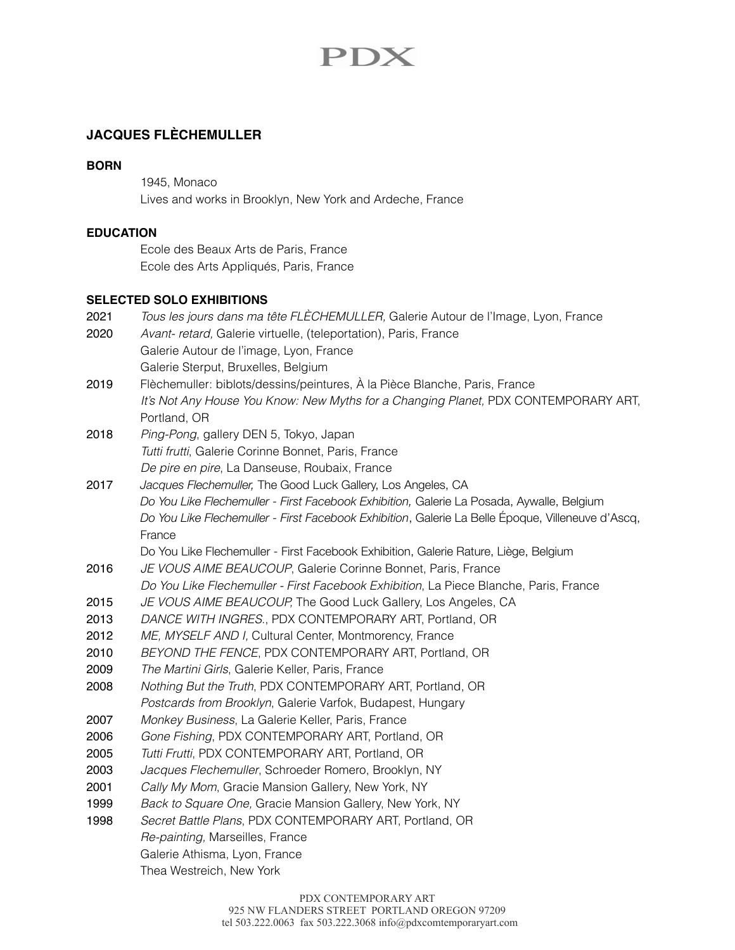# **PDX**

# **JACQUES FLÈCHEMULLER**

#### **BORN**

1945, Monaco Lives and works in Brooklyn, New York and Ardeche, France

# **EDUCATION**

Ecole des Beaux Arts de Paris, France Ecole des Arts Appliqués, Paris, France

### **SELECTED SOLO EXHIBITIONS**

| 2021<br>2020 | Tous les jours dans ma tête FLECHEMULLER, Galerie Autour de l'Image, Lyon, France<br>Avant- retard, Galerie virtuelle, (teleportation), Paris, France             |
|--------------|-------------------------------------------------------------------------------------------------------------------------------------------------------------------|
|              | Galerie Autour de l'image, Lyon, France                                                                                                                           |
|              | Galerie Sterput, Bruxelles, Belgium                                                                                                                               |
| 2019         | Flèchemuller: biblots/dessins/peintures, À la Pièce Blanche, Paris, France<br>It's Not Any House You Know: New Myths for a Changing Planet, PDX CONTEMPORARY ART, |
|              | Portland, OR                                                                                                                                                      |
| 2018         | Ping-Pong, gallery DEN 5, Tokyo, Japan                                                                                                                            |
|              | Tutti frutti, Galerie Corinne Bonnet, Paris, France                                                                                                               |
|              | De pire en pire, La Danseuse, Roubaix, France                                                                                                                     |
| 2017         | Jacques Flechemuller, The Good Luck Gallery, Los Angeles, CA                                                                                                      |
|              | Do You Like Flechemuller - First Facebook Exhibition, Galerie La Posada, Aywalle, Belgium                                                                         |
|              | Do You Like Flechemuller - First Facebook Exhibition, Galerie La Belle Époque, Villeneuve d'Ascq,                                                                 |
|              | France                                                                                                                                                            |
|              | Do You Like Flechemuller - First Facebook Exhibition, Galerie Rature, Liège, Belgium                                                                              |
| 2016         | JE VOUS AIME BEAUCOUP, Galerie Corinne Bonnet, Paris, France                                                                                                      |
|              | Do You Like Flechemuller - First Facebook Exhibition, La Piece Blanche, Paris, France                                                                             |
| 2015         | JE VOUS AIME BEAUCOUP, The Good Luck Gallery, Los Angeles, CA                                                                                                     |
| 2013         | DANCE WITH INGRES., PDX CONTEMPORARY ART, Portland, OR                                                                                                            |
| 2012         | ME, MYSELF AND I, Cultural Center, Montmorency, France                                                                                                            |
| 2010         | BEYOND THE FENCE, PDX CONTEMPORARY ART, Portland, OR                                                                                                              |
| 2009         | The Martini Girls, Galerie Keller, Paris, France                                                                                                                  |
| 2008         | Nothing But the Truth, PDX CONTEMPORARY ART, Portland, OR                                                                                                         |
|              | Postcards from Brooklyn, Galerie Varfok, Budapest, Hungary                                                                                                        |
| 2007         | Monkey Business, La Galerie Keller, Paris, France                                                                                                                 |
| 2006         | Gone Fishing, PDX CONTEMPORARY ART, Portland, OR                                                                                                                  |
| 2005         | Tutti Frutti, PDX CONTEMPORARY ART, Portland, OR                                                                                                                  |
| 2003         | Jacques Flechemuller, Schroeder Romero, Brooklyn, NY                                                                                                              |
| 2001         | Cally My Mom, Gracie Mansion Gallery, New York, NY                                                                                                                |
| 1999         | Back to Square One, Gracie Mansion Gallery, New York, NY                                                                                                          |
| 1998         | Secret Battle Plans, PDX CONTEMPORARY ART, Portland, OR                                                                                                           |
|              | Re-painting, Marseilles, France                                                                                                                                   |
|              | Galerie Athisma, Lyon, France                                                                                                                                     |
|              | Thea Westreich, New York                                                                                                                                          |
|              |                                                                                                                                                                   |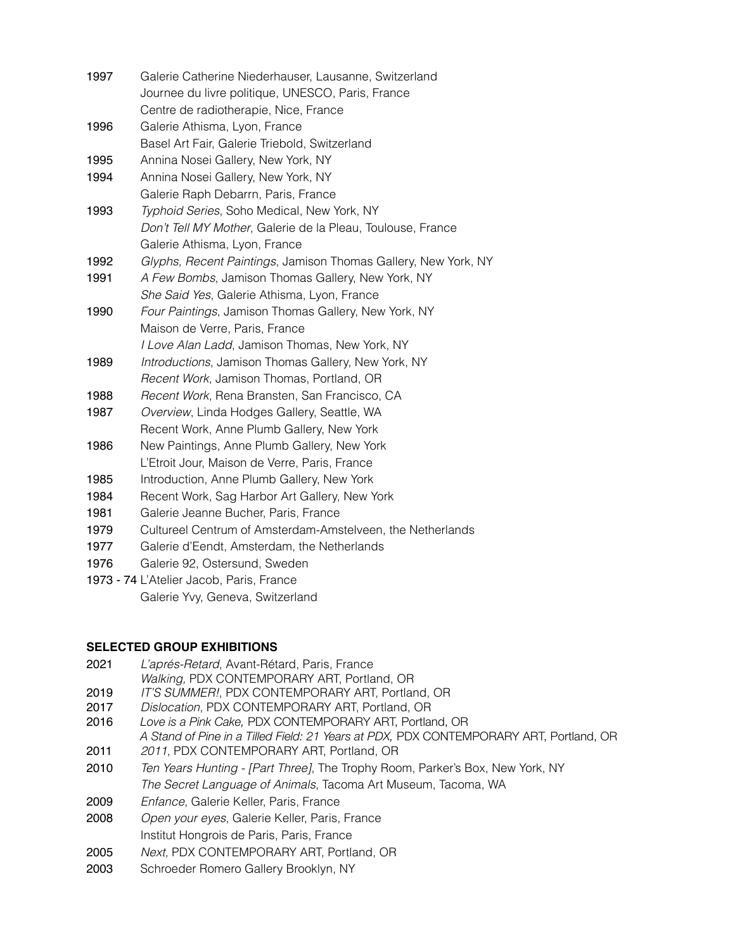| 1997 | Galerie Catherine Niederhauser, Lausanne, Switzerland<br>Journee du livre politique, UNESCO, Paris, France |
|------|------------------------------------------------------------------------------------------------------------|
|      | Centre de radiotherapie, Nice, France                                                                      |
| 1996 | Galerie Athisma, Lyon, France                                                                              |
|      | Basel Art Fair, Galerie Triebold, Switzerland                                                              |
| 1995 | Annina Nosei Gallery, New York, NY                                                                         |
| 1994 | Annina Nosei Gallery, New York, NY                                                                         |
|      | Galerie Raph Debarrn, Paris, France                                                                        |
| 1993 | Typhoid Series, Soho Medical, New York, NY                                                                 |
|      | Don't Tell MY Mother, Galerie de la Pleau, Toulouse, France                                                |
|      | Galerie Athisma, Lyon, France                                                                              |
| 1992 | Glyphs, Recent Paintings, Jamison Thomas Gallery, New York, NY                                             |
| 1991 | A Few Bombs, Jamison Thomas Gallery, New York, NY                                                          |
|      | She Said Yes, Galerie Athisma, Lyon, France                                                                |
| 1990 | Four Paintings, Jamison Thomas Gallery, New York, NY                                                       |
|      | Maison de Verre, Paris, France                                                                             |
|      | I Love Alan Ladd, Jamison Thomas, New York, NY                                                             |
| 1989 | Introductions, Jamison Thomas Gallery, New York, NY                                                        |
|      | Recent Work, Jamison Thomas, Portland, OR                                                                  |
| 1988 | Recent Work, Rena Bransten, San Francisco, CA                                                              |
| 1987 | Overview, Linda Hodges Gallery, Seattle, WA                                                                |
|      | Recent Work, Anne Plumb Gallery, New York                                                                  |
| 1986 | New Paintings, Anne Plumb Gallery, New York                                                                |
|      | L'Etroit Jour, Maison de Verre, Paris, France                                                              |
| 1985 | Introduction, Anne Plumb Gallery, New York                                                                 |
| 1984 | Recent Work, Sag Harbor Art Gallery, New York                                                              |
| 1981 | Galerie Jeanne Bucher, Paris, France                                                                       |
| 1979 | Cultureel Centrum of Amsterdam-Amstelveen, the Netherlands                                                 |
| 1977 | Galerie d'Eendt, Amsterdam, the Netherlands                                                                |
| 1976 | Galerie 92, Ostersund, Sweden                                                                              |
|      |                                                                                                            |

1973 - 74 L'Atelier Jacob, Paris, France Galerie Yvy, Geneva, Switzerland

## **SELECTED GROUP EXHIBITIONS**

- 2021 *L'aprés-Retard*, Avant-Rétard, Paris, France *Walking,* PDX CONTEMPORARY ART, Portland, OR
- 2019 *IT'S SUMMER!*, PDX CONTEMPORARY ART, Portland, OR
- 2017 *Dislocation*, PDX CONTEMPORARY ART, Portland, OR
- 2016 *Love is a Pink Cake,* PDX CONTEMPORARY ART, Portland, OR *A Stand of Pine in a Tilled Field: 21 Years at PDX,* PDX CONTEMPORARY ART, Portland, OR
- 2011 *2011*, PDX CONTEMPORARY ART, Portland, OR
- 2010 *Ten Years Hunting [Part Three]*, The Trophy Room, Parker's Box, New York, NY *The Secret Language of Animals*, Tacoma Art Museum, Tacoma, WA
- 2009 *Enfance*, Galerie Keller, Paris, France
- 2008 *Open your eyes*, Galerie Keller, Paris, France Institut Hongrois de Paris, Paris, France
- 2005 *Next,* PDX CONTEMPORARY ART, Portland, OR
- 2003 Schroeder Romero Gallery Brooklyn, NY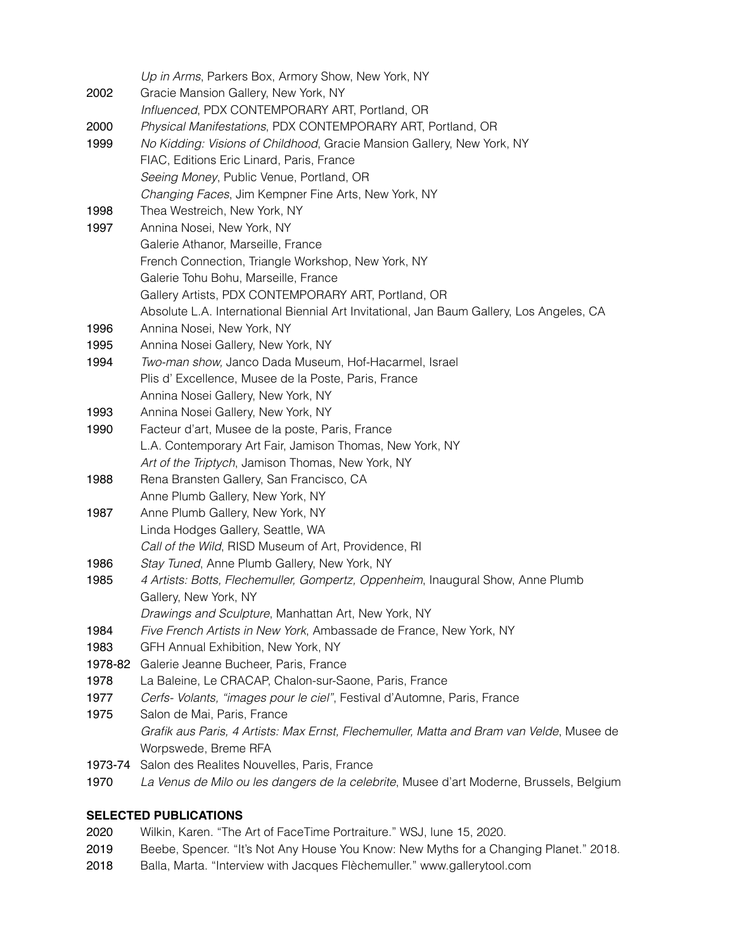|         | Up in Arms, Parkers Box, Armory Show, New York, NY                                       |
|---------|------------------------------------------------------------------------------------------|
| 2002    | Gracie Mansion Gallery, New York, NY                                                     |
|         | Influenced, PDX CONTEMPORARY ART, Portland, OR                                           |
| 2000    | Physical Manifestations, PDX CONTEMPORARY ART, Portland, OR                              |
| 1999    | No Kidding: Visions of Childhood, Gracie Mansion Gallery, New York, NY                   |
|         | FIAC, Editions Eric Linard, Paris, France                                                |
|         | Seeing Money, Public Venue, Portland, OR                                                 |
|         | Changing Faces, Jim Kempner Fine Arts, New York, NY                                      |
| 1998    | Thea Westreich, New York, NY                                                             |
| 1997    | Annina Nosei, New York, NY                                                               |
|         | Galerie Athanor, Marseille, France                                                       |
|         | French Connection, Triangle Workshop, New York, NY                                       |
|         | Galerie Tohu Bohu, Marseille, France                                                     |
|         | Gallery Artists, PDX CONTEMPORARY ART, Portland, OR                                      |
|         | Absolute L.A. International Biennial Art Invitational, Jan Baum Gallery, Los Angeles, CA |
| 1996    | Annina Nosei, New York, NY                                                               |
| 1995    | Annina Nosei Gallery, New York, NY                                                       |
| 1994    | Two-man show, Janco Dada Museum, Hof-Hacarmel, Israel                                    |
|         | Plis d'Excellence, Musee de la Poste, Paris, France                                      |
|         | Annina Nosei Gallery, New York, NY                                                       |
| 1993    | Annina Nosei Gallery, New York, NY                                                       |
| 1990    | Facteur d'art, Musee de la poste, Paris, France                                          |
|         | L.A. Contemporary Art Fair, Jamison Thomas, New York, NY                                 |
|         | Art of the Triptych, Jamison Thomas, New York, NY                                        |
| 1988    | Rena Bransten Gallery, San Francisco, CA                                                 |
|         | Anne Plumb Gallery, New York, NY                                                         |
| 1987    | Anne Plumb Gallery, New York, NY                                                         |
|         | Linda Hodges Gallery, Seattle, WA                                                        |
|         | Call of the Wild, RISD Museum of Art, Providence, RI                                     |
| 1986    | Stay Tuned, Anne Plumb Gallery, New York, NY                                             |
| 1985    | 4 Artists: Botts, Flechemuller, Gompertz, Oppenheim, Inaugural Show, Anne Plumb          |
|         | Gallery, New York, NY                                                                    |
|         | Drawings and Sculpture, Manhattan Art, New York, NY                                      |
| 1984    | Five French Artists in New York, Ambassade de France, New York, NY                       |
| 1983    | GFH Annual Exhibition, New York, NY                                                      |
| 1978-82 | Galerie Jeanne Bucheer, Paris, France                                                    |
| 1978    | La Baleine, Le CRACAP, Chalon-sur-Saone, Paris, France                                   |
| 1977    | Cerfs- Volants, "images pour le ciel", Festival d'Automne, Paris, France                 |
| 1975    | Salon de Mai, Paris, France                                                              |
|         | Grafik aus Paris, 4 Artists: Max Ernst, Flechemuller, Matta and Bram van Velde, Musee de |
|         | Worpswede, Breme RFA                                                                     |
| 1973-74 | Salon des Realites Nouvelles, Paris, France                                              |
| 1970    | La Venus de Milo ou les dangers de la celebrite, Musee d'art Moderne, Brussels, Belgium  |
|         |                                                                                          |

#### **SELECTED PUBLICATIONS**

- 2020 Wilkin, Karen. "The Art of FaceTime Portraiture." WSJ, lune 15, 2020.
- 2019 Beebe, Spencer. "It's Not Any House You Know: New Myths for a Changing Planet." 2018.
- 2018 Balla, Marta. "Interview with Jacques Flèchemuller." www.gallerytool.com